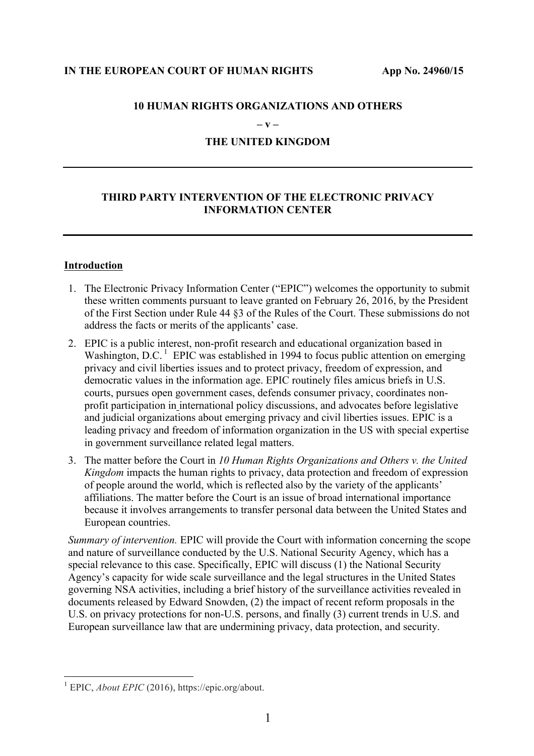### **IN THE EUROPEAN COURT OF HUMAN RIGHTS App No. 24960/15**

### **10 HUMAN RIGHTS ORGANIZATIONS AND OTHERS**

**– v –**

# **THE UNITED KINGDOM**

# **THIRD PARTY INTERVENTION OF THE ELECTRONIC PRIVACY INFORMATION CENTER**

### **Introduction**

- 1. The Electronic Privacy Information Center ("EPIC") welcomes the opportunity to submit these written comments pursuant to leave granted on February 26, 2016, by the President of the First Section under Rule 44 §3 of the Rules of the Court. These submissions do not address the facts or merits of the applicants' case.
- 2. EPIC is a public interest, non-profit research and educational organization based in Washington, D.C.<sup>1</sup> EPIC was established in 1994 to focus public attention on emerging privacy and civil liberties issues and to protect privacy, freedom of expression, and democratic values in the information age. EPIC routinely files amicus briefs in U.S. courts, pursues open government cases, defends consumer privacy, coordinates nonprofit participation in international policy discussions, and advocates before legislative and judicial organizations about emerging privacy and civil liberties issues. EPIC is a leading privacy and freedom of information organization in the US with special expertise in government surveillance related legal matters.
- 3. The matter before the Court in *10 Human Rights Organizations and Others v. the United Kingdom* impacts the human rights to privacy, data protection and freedom of expression of people around the world, which is reflected also by the variety of the applicants' affiliations. The matter before the Court is an issue of broad international importance because it involves arrangements to transfer personal data between the United States and European countries.

*Summary of intervention.* EPIC will provide the Court with information concerning the scope and nature of surveillance conducted by the U.S. National Security Agency, which has a special relevance to this case. Specifically, EPIC will discuss (1) the National Security Agency's capacity for wide scale surveillance and the legal structures in the United States governing NSA activities, including a brief history of the surveillance activities revealed in documents released by Edward Snowden, (2) the impact of recent reform proposals in the U.S. on privacy protections for non-U.S. persons, and finally (3) current trends in U.S. and European surveillance law that are undermining privacy, data protection, and security.

 <sup>1</sup> EPIC, *About EPIC* (2016), https://epic.org/about.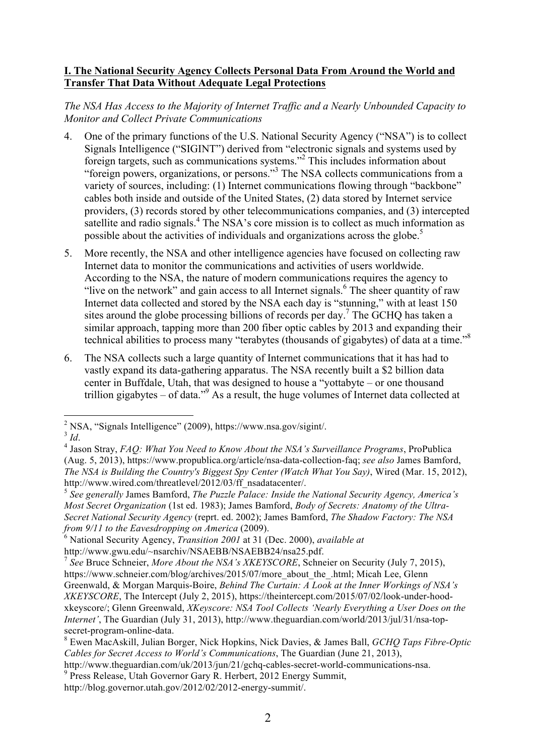# **I. The National Security Agency Collects Personal Data From Around the World and Transfer That Data Without Adequate Legal Protections**

# *The NSA Has Access to the Majority of Internet Traffic and a Nearly Unbounded Capacity to Monitor and Collect Private Communications*

- 4. One of the primary functions of the U.S. National Security Agency ("NSA") is to collect Signals Intelligence ("SIGINT") derived from "electronic signals and systems used by foreign targets, such as communications systems."2 This includes information about "foreign powers, organizations, or persons."3 The NSA collects communications from a variety of sources, including: (1) Internet communications flowing through "backbone" cables both inside and outside of the United States, (2) data stored by Internet service providers, (3) records stored by other telecommunications companies, and (3) intercepted satellite and radio signals.<sup>4</sup> The NSA's core mission is to collect as much information as possible about the activities of individuals and organizations across the globe.<sup>5</sup>
- 5. More recently, the NSA and other intelligence agencies have focused on collecting raw Internet data to monitor the communications and activities of users worldwide. According to the NSA, the nature of modern communications requires the agency to "live on the network" and gain access to all Internet signals.<sup>6</sup> The sheer quantity of raw Internet data collected and stored by the NSA each day is "stunning," with at least 150 sites around the globe processing billions of records per day.<sup>7</sup> The GCHO has taken a similar approach, tapping more than 200 fiber optic cables by 2013 and expanding their technical abilities to process many "terabytes (thousands of gigabytes) of data at a time."<sup>8</sup>
- 6. The NSA collects such a large quantity of Internet communications that it has had to vastly expand its data-gathering apparatus. The NSA recently built a \$2 billion data center in Buffdale, Utah, that was designed to house a "yottabyte – or one thousand trillion gigabytes  $-$  of data."<sup>9</sup> As a result, the huge volumes of Internet data collected at

<sup>&</sup>lt;sup>2</sup> NSA, "Signals Intelligence" (2009), https://www.nsa.gov/sigint/.<br> $\frac{3}{1}$ 

<sup>&</sup>lt;sup>4</sup> Jason Stray, *FAQ: What You Need to Know About the NSA's Surveillance Programs*, ProPublica (Aug. 5, 2013), https://www.propublica.org/article/nsa-data-collection-faq; *see also* James Bamford, *The NSA is Building the Country's Biggest Spy Center (Watch What You Say)*, Wired (Mar. 15, 2012), http://www.wired.com/threatlevel/2012/03/ff\_nsadatacenter/.

<sup>5</sup> *See generally* James Bamford, *The Puzzle Palace: Inside the National Security Agency, America's Most Secret Organization* (1st ed. 1983); James Bamford, *Body of Secrets: Anatomy of the Ultra-Secret National Security Agency* (reprt. ed. 2002); James Bamford, *The Shadow Factory: The NSA from 9/11 to the Eavesdropping on America* (2009).

<sup>6</sup> National Security Agency, *Transition 2001* at 31 (Dec. 2000), *available at*

http://www.gwu.edu/~nsarchiv/NSAEBB/NSAEBB24/nsa25.pdf.

<sup>7</sup> *See* Bruce Schneier, *More About the NSA's XKEYSCORE*, Schneier on Security (July 7, 2015), https://www.schneier.com/blog/archives/2015/07/more\_about\_the\_.html; Micah Lee, Glenn Greenwald, & Morgan Marquis-Boire, *Behind The Curtain: A Look at the Inner Workings of NSA's XKEYSCORE*, The Intercept (July 2, 2015), https://theintercept.com/2015/07/02/look-under-hoodxkeyscore/; Glenn Greenwald, *XKeyscore: NSA Tool Collects 'Nearly Everything a User Does on the Internet'*, The Guardian (July 31, 2013), http://www.theguardian.com/world/2013/jul/31/nsa-topsecret-program-online-data.

<sup>8</sup> Ewen MacAskill, Julian Borger, Nick Hopkins, Nick Davies, & James Ball, *GCHQ Taps Fibre-Optic Cables for Secret Access to World's Communications*, The Guardian (June 21, 2013),

http://www.theguardian.com/uk/2013/jun/21/gchq-cables-secret-world-communications-nsa.

<sup>&</sup>lt;sup>9</sup> Press Release, Utah Governor Gary R. Herbert, 2012 Energy Summit,

http://blog.governor.utah.gov/2012/02/2012-energy-summit/.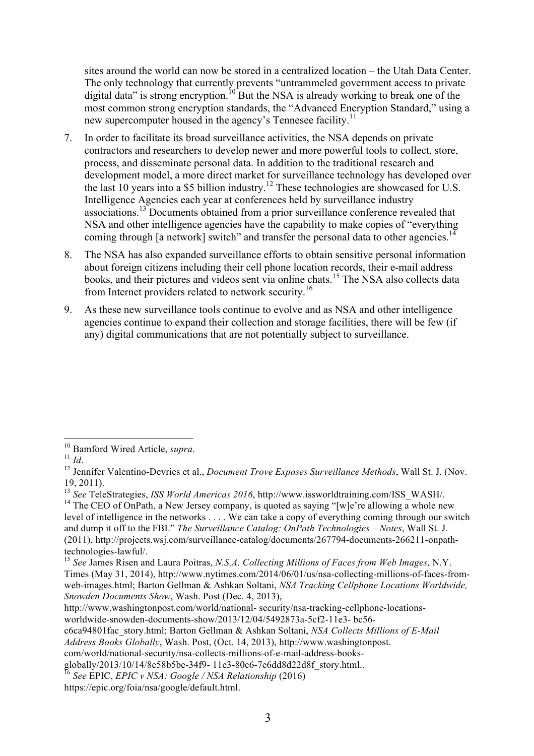sites around the world can now be stored in a centralized location – the Utah Data Center. The only technology that currently prevents "untrammeled government access to private digital data" is strong encryption.<sup>10</sup> But the NSA is already working to break one of the most common strong encryption standards, the "Advanced Encryption Standard," using a new supercomputer housed in the agency's Tennesee facility.<sup>11</sup>

- 7. In order to facilitate its broad surveillance activities, the NSA depends on private contractors and researchers to develop newer and more powerful tools to collect, store, process, and disseminate personal data. In addition to the traditional research and development model, a more direct market for surveillance technology has developed over the last 10 years into a \$5 billion industry.<sup>12</sup> These technologies are showcased for U.S. Intelligence Agencies each year at conferences held by surveillance industry associations. <sup>13</sup> Documents obtained from a prior surveillance conference revealed that NSA and other intelligence agencies have the capability to make copies of "everything coming through [a network] switch" and transfer the personal data to other agencies.<sup>1</sup>
- 8. The NSA has also expanded surveillance efforts to obtain sensitive personal information about foreign citizens including their cell phone location records, their e-mail address books, and their pictures and videos sent via online chats.<sup>15</sup> The NSA also collects data from Internet providers related to network security.<sup>16</sup>
- 9. As these new surveillance tools continue to evolve and as NSA and other intelligence agencies continue to expand their collection and storage facilities, there will be few (if any) digital communications that are not potentially subject to surveillance.

<sup>&</sup>lt;sup>10</sup> Bamford Wired Article, *supra*.<br><sup>11</sup> *Id*. <sup>12</sup> Jennifer Valentino-Devries et al., *Document Trove Exposes Surveillance Methods*, Wall St. J. (Nov. 19, 2011). <sup>13</sup> *See* TeleStrategies, *ISS World Americas 2016*, http://www.issworldtraining.com/ISS\_WASH/.

<sup>&</sup>lt;sup>14</sup> The CEO of OnPath, a New Jersey company, is quoted as saying "[w]e're allowing a whole new level of intelligence in the networks . . . . We can take a copy of everything coming through our switch and dump it off to the FBI." *The Surveillance Catalog: OnPath Technologies – Notes*, Wall St. J. (2011), http://projects.wsj.com/surveillance-catalog/documents/267794-documents-266211-onpathtechnologies-lawful/.

<sup>15</sup> *See* James Risen and Laura Poitras, *N.S.A. Collecting Millions of Faces from Web Images*, N.Y. Times (May 31, 2014), http://www.nytimes.com/2014/06/01/us/nsa-collecting-millions-of-faces-fromweb-images.html; Barton Gellman & Ashkan Soltani, *NSA Tracking Cellphone Locations Worldwide, Snowden Documents Show*, Wash. Post (Dec. 4, 2013),

http://www.washingtonpost.com/world/national- security/nsa-tracking-cellphone-locationsworldwide-snowden-documents-show/2013/12/04/5492873a-5cf2-11e3- bc56-

c6ca94801fac\_story.html; Barton Gellman & Ashkan Soltani, *NSA Collects Millions of E-Mail Address Books Globally*, Wash. Post, (Oct. 14, 2013), http://www.washingtonpost.

com/world/national-security/nsa-collects-millions-of-e-mail-address-books-

globally/2013/10/14/8e58b5be-34f9- 11e3-80c6-7e6dd8d22d8f\_story.html..

<sup>16</sup> *See* EPIC, *EPIC v NSA: Google / NSA Relationship* (2016)

https://epic.org/foia/nsa/google/default.html.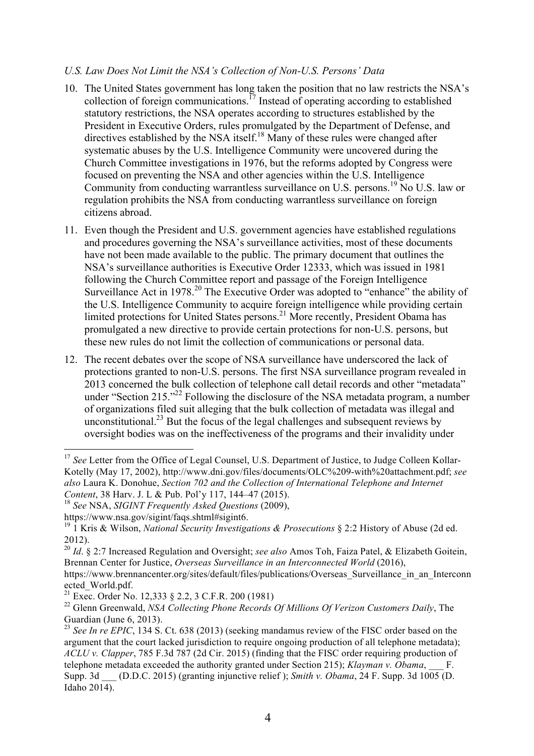#### *U.S. Law Does Not Limit the NSA's Collection of Non-U.S. Persons' Data*

- 10. The United States government has long taken the position that no law restricts the NSA's collection of foreign communications.<sup>17</sup> Instead of operating according to established statutory restrictions, the NSA operates according to structures established by the President in Executive Orders, rules promulgated by the Department of Defense, and directives established by the NSA itself.<sup>18</sup> Many of these rules were changed after systematic abuses by the U.S. Intelligence Community were uncovered during the Church Committee investigations in 1976, but the reforms adopted by Congress were focused on preventing the NSA and other agencies within the U.S. Intelligence Community from conducting warrantless surveillance on U.S. persons.<sup>19</sup> No U.S. law or regulation prohibits the NSA from conducting warrantless surveillance on foreign citizens abroad.
- 11. Even though the President and U.S. government agencies have established regulations and procedures governing the NSA's surveillance activities, most of these documents have not been made available to the public. The primary document that outlines the NSA's surveillance authorities is Executive Order 12333, which was issued in 1981 following the Church Committee report and passage of the Foreign Intelligence Surveillance Act in 1978.<sup>20</sup> The Executive Order was adopted to "enhance" the ability of the U.S. Intelligence Community to acquire foreign intelligence while providing certain limited protections for United States persons.<sup>21</sup> More recently, President Obama has promulgated a new directive to provide certain protections for non-U.S. persons, but these new rules do not limit the collection of communications or personal data.
- 12. The recent debates over the scope of NSA surveillance have underscored the lack of protections granted to non-U.S. persons. The first NSA surveillance program revealed in 2013 concerned the bulk collection of telephone call detail records and other "metadata" under "Section 215."<sup>22</sup> Following the disclosure of the NSA metadata program, a number of organizations filed suit alleging that the bulk collection of metadata was illegal and unconstitutional.<sup>23</sup> But the focus of the legal challenges and subsequent reviews by oversight bodies was on the ineffectiveness of the programs and their invalidity under

<sup>&</sup>lt;sup>17</sup> See Letter from the Office of Legal Counsel, U.S. Department of Justice, to Judge Colleen Kollar-Kotelly (May 17, 2002), http://www.dni.gov/files/documents/OLC%209-with%20attachment.pdf; *see also* Laura K. Donohue, *Section 702 and the Collection of International Telephone and Internet Content*, 38 Harv. J. L & Pub. Pol'y 117, 144–47 (2015).

<sup>18</sup> *See* NSA, *SIGINT Frequently Asked Questions* (2009),

https://www.nsa.gov/sigint/faqs.shtml#sigint6.

<sup>19</sup> 1 Kris & Wilson, *National Security Investigations & Prosecutions* § 2:2 History of Abuse (2d ed. 2012).

<sup>20</sup> *Id*. § 2:7 Increased Regulation and Oversight; *see also* Amos Toh, Faiza Patel, & Elizabeth Goitein, Brennan Center for Justice, *Overseas Surveillance in an Interconnected World* (2016),

https://www.brennancenter.org/sites/default/files/publications/Overseas Surveillance in an Interconn ected\_World.pdf.

<sup>&</sup>lt;sup>21</sup> Exec. Order No. 12,333  $\S$  2.2, 3 C.F.R. 200 (1981)

<sup>&</sup>lt;sup>22</sup> Glenn Greenwald, *NSA Collecting Phone Records Of Millions Of Verizon Customers Daily*, The Guardian (June 6, 2013).

<sup>23</sup> *See In re EPIC*, 134 S. Ct. 638 (2013) (seeking mandamus review of the FISC order based on the argument that the court lacked jurisdiction to require ongoing production of all telephone metadata); *ACLU v. Clapper*, 785 F.3d 787 (2d Cir. 2015) (finding that the FISC order requiring production of telephone metadata exceeded the authority granted under Section 215); *Klayman v. Obama*, \_\_\_ F. Supp. 3d \_\_\_ (D.D.C. 2015) (granting injunctive relief ); *Smith v. Obama*, 24 F. Supp. 3d 1005 (D. Idaho 2014).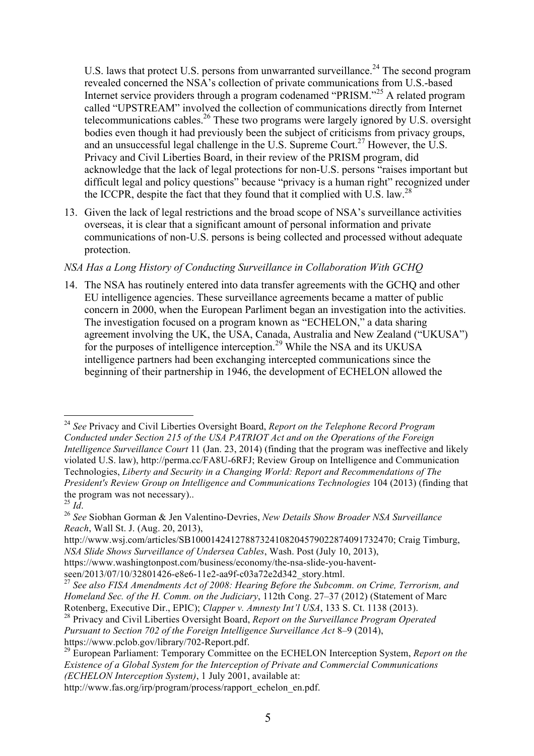U.S. laws that protect U.S. persons from unwarranted surveillance.<sup>24</sup> The second program revealed concerned the NSA's collection of private communications from U.S.-based Internet service providers through a program codenamed "PRISM."<sup>25</sup> A related program called "UPSTREAM" involved the collection of communications directly from Internet telecommunications cables.<sup>26</sup> These two programs were largely ignored by U.S. oversight bodies even though it had previously been the subject of criticisms from privacy groups, and an unsuccessful legal challenge in the U.S. Supreme Court. <sup>27</sup> However, the U.S. Privacy and Civil Liberties Board, in their review of the PRISM program, did acknowledge that the lack of legal protections for non-U.S. persons "raises important but difficult legal and policy questions" because "privacy is a human right" recognized under the ICCPR, despite the fact that they found that it complied with U.S. law.<sup>28</sup>

13. Given the lack of legal restrictions and the broad scope of NSA's surveillance activities overseas, it is clear that a significant amount of personal information and private communications of non-U.S. persons is being collected and processed without adequate protection.

# *NSA Has a Long History of Conducting Surveillance in Collaboration With GCHQ*

14. The NSA has routinely entered into data transfer agreements with the GCHQ and other EU intelligence agencies. These surveillance agreements became a matter of public concern in 2000, when the European Parliment began an investigation into the activities. The investigation focused on a program known as "ECHELON," a data sharing agreement involving the UK, the USA, Canada, Australia and New Zealand ("UKUSA") for the purposes of intelligence interception.<sup>29</sup> While the NSA and its UKUSA intelligence partners had been exchanging intercepted communications since the beginning of their partnership in 1946, the development of ECHELON allowed the

 <sup>24</sup> *See* Privacy and Civil Liberties Oversight Board, *Report on the Telephone Record Program Conducted under Section 215 of the USA PATRIOT Act and on the Operations of the Foreign Intelligence Surveillance Court* 11 (Jan. 23, 2014) (finding that the program was ineffective and likely violated U.S. law), http://perma.cc/FA8U-6RFJ; Review Group on Intelligence and Communication Technologies, *Liberty and Security in a Changing World: Report and Recommendations of The President's Review Group on Intelligence and Communications Technologies* 104 (2013) (finding that the program was not necessary)..<br> $^{25}$  *Id*.

<sup>25</sup> *Id*. <sup>26</sup> *See* Siobhan Gorman & Jen Valentino-Devries, *New Details Show Broader NSA Surveillance Reach*, Wall St. J. (Aug. 20, 2013),

http://www.wsj.com/articles/SB10001424127887324108204579022874091732470; Craig Timburg, *NSA Slide Shows Surveillance of Undersea Cables*, Wash. Post (July 10, 2013),

https://www.washingtonpost.com/business/economy/the-nsa-slide-you-havent-

seen/2013/07/10/32801426-e8e6-11e2-aa9f-c03a72e2d342\_story.html.

<sup>27</sup> *See also FISA Amendments Act of 2008: Hearing Before the Subcomm. on Crime, Terrorism, and Homeland Sec. of the H. Comm. on the Judiciary*, 112th Cong. 27–37 (2012) (Statement of Marc Rotenberg, Executive Dir., EPIC); *Clapper v. Amnesty Int'l USA*, 133 S. Ct. 1138 (2013).

<sup>28</sup> Privacy and Civil Liberties Oversight Board, *Report on the Surveillance Program Operated Pursuant to Section 702 of the Foreign Intelligence Surveillance Act* 8–9 (2014), https://www.pclob.gov/library/702-Report.pdf.

<sup>29</sup> European Parliament: Temporary Committee on the ECHELON Interception System, *Report on the Existence of a Global System for the Interception of Private and Commercial Communications (ECHELON Interception System)*, 1 July 2001, available at:

http://www.fas.org/irp/program/process/rapport\_echelon\_en.pdf.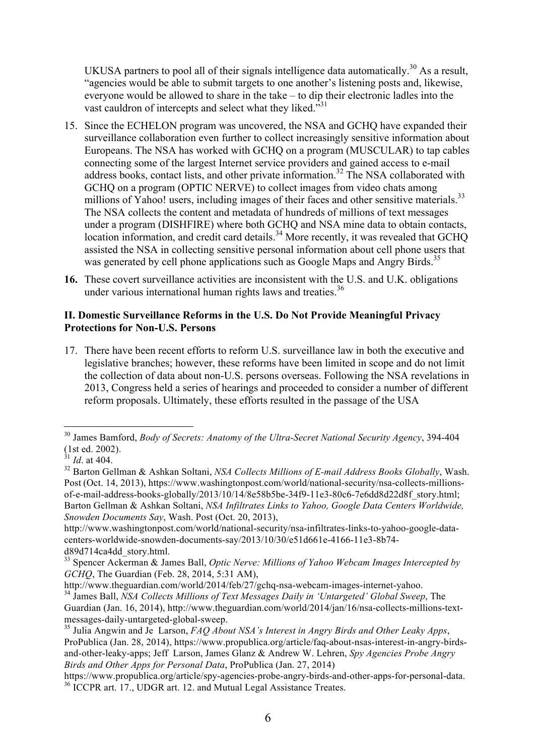UKUSA partners to pool all of their signals intelligence data automatically.<sup>30</sup> As a result, "agencies would be able to submit targets to one another's listening posts and, likewise, everyone would be allowed to share in the take – to dip their electronic ladles into the vast cauldron of intercepts and select what they liked."<sup>31</sup>

- 15. Since the ECHELON program was uncovered, the NSA and GCHQ have expanded their surveillance collaboration even further to collect increasingly sensitive information about Europeans. The NSA has worked with GCHQ on a program (MUSCULAR) to tap cables connecting some of the largest Internet service providers and gained access to e-mail address books, contact lists, and other private information.<sup>32</sup> The NSA collaborated with GCHQ on a program (OPTIC NERVE) to collect images from video chats among millions of Yahoo! users, including images of their faces and other sensitive materials.<sup>33</sup> The NSA collects the content and metadata of hundreds of millions of text messages under a program (DISHFIRE) where both GCHQ and NSA mine data to obtain contacts, location information, and credit card details.<sup>34</sup> More recently, it was revealed that GCHQ assisted the NSA in collecting sensitive personal information about cell phone users that was generated by cell phone applications such as Google Maps and Angry Birds.<sup>35</sup>
- **16.** These covert surveillance activities are inconsistent with the U.S. and U.K. obligations under various international human rights laws and treaties. $36$

### **II. Domestic Surveillance Reforms in the U.S. Do Not Provide Meaningful Privacy Protections for Non-U.S. Persons**

17. There have been recent efforts to reform U.S. surveillance law in both the executive and legislative branches; however, these reforms have been limited in scope and do not limit the collection of data about non-U.S. persons overseas. Following the NSA revelations in 2013, Congress held a series of hearings and proceeded to consider a number of different reform proposals. Ultimately, these efforts resulted in the passage of the USA

 <sup>30</sup> James Bamford, *Body of Secrets: Anatomy of the Ultra-Secret National Security Agency*, 394-404 (1st ed. 2002). <sup>31</sup> *Id*. at 404.

<sup>32</sup> Barton Gellman & Ashkan Soltani, *NSA Collects Millions of E-mail Address Books Globally*, Wash. Post (Oct. 14, 2013), https://www.washingtonpost.com/world/national-security/nsa-collects-millionsof-e-mail-address-books-globally/2013/10/14/8e58b5be-34f9-11e3-80c6-7e6dd8d22d8f\_story.html; Barton Gellman & Ashkan Soltani, *NSA Infiltrates Links to Yahoo, Google Data Centers Worldwide, Snowden Documents Say*, Wash. Post (Oct. 20, 2013),

http://www.washingtonpost.com/world/national-security/nsa-infiltrates-links-to-yahoo-google-datacenters-worldwide-snowden-documents-say/2013/10/30/e51d661e-4166-11e3-8b74 d89d714ca4dd\_story.html.

<sup>33</sup> Spencer Ackerman & James Ball, *Optic Nerve: Millions of Yahoo Webcam Images Intercepted by GCHQ*, The Guardian (Feb. 28, 2014, 5:31 AM),

http://www.theguardian.com/world/2014/feb/27/gchq-nsa-webcam-images-internet-yahoo. <sup>34</sup> James Ball, *NSA Collects Millions of Text Messages Daily in 'Untargeted' Global Sweep*, The Guardian (Jan. 16, 2014), http://www.theguardian.com/world/2014/jan/16/nsa-collects-millions-textmessages-daily-untargeted-global-sweep.

<sup>&</sup>lt;sup>35</sup> Julia Angwin and Je Larson, *FAQ About NSA's Interest in Angry Birds and Other Leaky Apps*, ProPublica (Jan. 28, 2014), https://www.propublica.org/article/faq-about-nsas-interest-in-angry-birdsand-other-leaky-apps; Jeff Larson, James Glanz & Andrew W. Lehren, *Spy Agencies Probe Angry Birds and Other Apps for Personal Data*, ProPublica (Jan. 27, 2014)

https://www.propublica.org/article/spy-agencies-probe-angry-birds-and-other-apps-for-personal-data. <sup>36</sup> ICCPR art. 17., UDGR art. 12. and Mutual Legal Assistance Treates.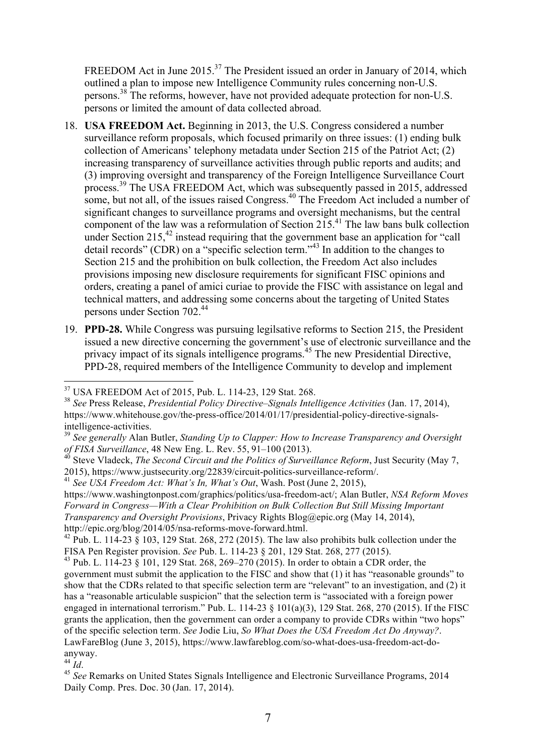FREEDOM Act in June 2015.<sup>37</sup> The President issued an order in January of 2014, which outlined a plan to impose new Intelligence Community rules concerning non-U.S. persons. <sup>38</sup> The reforms, however, have not provided adequate protection for non-U.S. persons or limited the amount of data collected abroad.

- 18. **USA FREEDOM Act.** Beginning in 2013, the U.S. Congress considered a number surveillance reform proposals, which focused primarily on three issues: (1) ending bulk collection of Americans' telephony metadata under Section 215 of the Patriot Act; (2) increasing transparency of surveillance activities through public reports and audits; and (3) improving oversight and transparency of the Foreign Intelligence Surveillance Court process. <sup>39</sup> The USA FREEDOM Act, which was subsequently passed in 2015, addressed some, but not all, of the issues raised Congress. <sup>40</sup> The Freedom Act included a number of significant changes to surveillance programs and oversight mechanisms, but the central component of the law was a reformulation of Section 215.<sup>41</sup> The law bans bulk collection under Section  $215<sup>42</sup>$  instead requiring that the government base an application for "call detail records" (CDR) on a "specific selection term."<sup>43</sup> In addition to the changes to Section 215 and the prohibition on bulk collection, the Freedom Act also includes provisions imposing new disclosure requirements for significant FISC opinions and orders, creating a panel of amici curiae to provide the FISC with assistance on legal and technical matters, and addressing some concerns about the targeting of United States persons under Section 702.44
- 19. **PPD-28.** While Congress was pursuing legilsative reforms to Section 215, the President issued a new directive concerning the government's use of electronic surveillance and the privacy impact of its signals intelligence programs.<sup>45</sup> The new Presidential Directive, PPD-28, required members of the Intelligence Community to develop and implement

 <sup>37</sup> USA FREEDOM Act of 2015, Pub. L. 114-23, 129 Stat. 268.

<sup>38</sup> *See* Press Release, *Presidential Policy Directive–Signals Intelligence Activities* (Jan. 17, 2014), https://www.whitehouse.gov/the-press-office/2014/01/17/presidential-policy-directive-signalsintelligence-activities.

<sup>39</sup> *See generally* Alan Butler, *Standing Up to Clapper: How to Increase Transparency and Oversight of FISA Surveillance*, 48 New Eng. L. Rev. 55, 91–100 (2013).

<sup>&</sup>lt;sup>40</sup> Steve Vladeck, *The Second Circuit and the Politics of Surveillance Reform*, Just Security (May 7, 2015), https://www.justsecurity.org/22839/circuit-politics-surveillance-reform/.

<sup>41</sup> *See USA Freedom Act: What's In, What's Out*, Wash. Post (June 2, 2015),

https://www.washingtonpost.com/graphics/politics/usa-freedom-act/; Alan Butler, *NSA Reform Moves Forward in Congress—With a Clear Prohibition on Bulk Collection But Still Missing Important Transparency and Oversight Provisions*, Privacy Rights Blog@epic.org (May 14, 2014), http://epic.org/blog/2014/05/nsa-reforms-move-forward.html.

<sup>&</sup>lt;sup>42</sup> Pub. L. 114-23  $\overline{\S}$  103, 129 Stat. 268, 272 (2015). The law also prohibits bulk collection under the FISA Pen Register provision. *See* Pub. L. 114-23 § 201, 129 Stat. 268, 277 (2015).

<sup>&</sup>lt;sup>43</sup> Pub. L. 114-23  $\S$  101, 129 Stat. 268, 269–270 (2015). In order to obtain a CDR order, the government must submit the application to the FISC and show that (1) it has "reasonable grounds" to show that the CDRs related to that specific selection term are "relevant" to an investigation, and (2) it has a "reasonable articulable suspicion" that the selection term is "associated with a foreign power engaged in international terrorism." Pub. L. 114-23  $\S$  101(a)(3), 129 Stat. 268, 270 (2015). If the FISC grants the application, then the government can order a company to provide CDRs within "two hops" of the specific selection term. *See* Jodie Liu, *So What Does the USA Freedom Act Do Anyway?*. LawFareBlog (June 3, 2015), https://www.lawfareblog.com/so-what-does-usa-freedom-act-doanyway.<br> $44 \frac{Id}{L}$ 

<sup>&</sup>lt;sup>45</sup> See Remarks on United States Signals Intelligence and Electronic Surveillance Programs, 2014 Daily Comp. Pres. Doc. 30 (Jan. 17, 2014).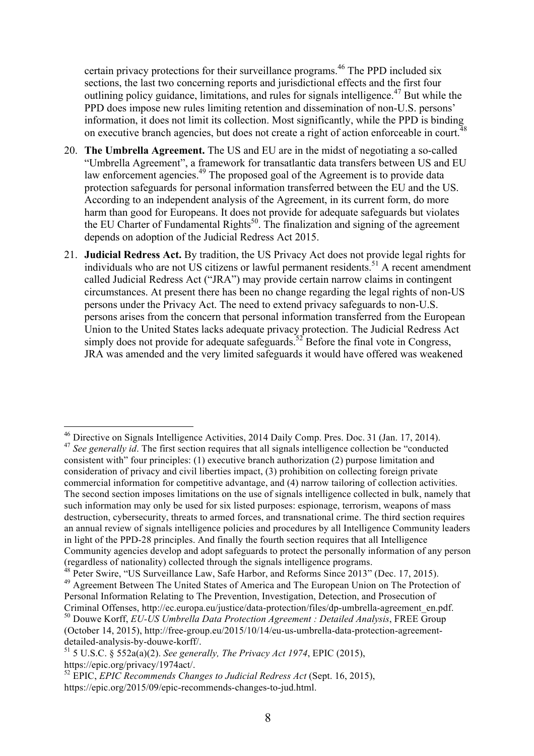certain privacy protections for their surveillance programs.<sup>46</sup> The PPD included six sections, the last two concerning reports and jurisdictional effects and the first four outlining policy guidance, limitations, and rules for signals intelligence.<sup>47</sup> But while the PPD does impose new rules limiting retention and dissemination of non-U.S. persons' **EVELU GOES IMPOSE HUW THINS HIMMING TO CONCOURT THE SECOND WAS SERVED ON THE UPPD** is binding information, it does not limit its collection. Most significantly, while the PPD is binding on executive branch agencies, but does not create a right of action enforceable in court.<sup>4</sup>

- 20. **The Umbrella Agreement.** The US and EU are in the midst of negotiating a so-called "Umbrella Agreement", a framework for transatlantic data transfers between US and EU law enforcement agencies.<sup>49</sup> The proposed goal of the Agreement is to provide data protection safeguards for personal information transferred between the EU and the US. According to an independent analysis of the Agreement, in its current form, do more harm than good for Europeans. It does not provide for adequate safeguards but violates the EU Charter of Fundamental Rights<sup>50</sup>. The finalization and signing of the agreement depends on adoption of the Judicial Redress Act 2015.
- 21. **Judicial Redress Act.** By tradition, the US Privacy Act does not provide legal rights for individuals who are not US citizens or lawful permanent residents.<sup>51</sup> A recent amendment called Judicial Redress Act ("JRA") may provide certain narrow claims in contingent circumstances. At present there has been no change regarding the legal rights of non-US persons under the Privacy Act. The need to extend privacy safeguards to non-U.S. persons arises from the concern that personal information transferred from the European Union to the United States lacks adequate privacy protection. The Judicial Redress Act simply does not provide for adequate safeguards.<sup>52</sup> Before the final vote in Congress, JRA was amended and the very limited safeguards it would have offered was weakened

 <sup>46</sup> Directive on Signals Intelligence Activities, 2014 Daily Comp. Pres. Doc. <sup>31</sup> (Jan. 17, 2014). <sup>47</sup> *See generally id*. The first section requires that all signals intelligence collection be "conducted consistent with" four principles: (1) executive branch authorization (2) purpose limitation and consideration of privacy and civil liberties impact, (3) prohibition on collecting foreign private commercial information for competitive advantage, and (4) narrow tailoring of collection activities. The second section imposes limitations on the use of signals intelligence collected in bulk, namely that such information may only be used for six listed purposes: espionage, terrorism, weapons of mass destruction, cybersecurity, threats to armed forces, and transnational crime. The third section requires an annual review of signals intelligence policies and procedures by all Intelligence Community leaders in light of the PPD-28 principles. And finally the fourth section requires that all Intelligence Community agencies develop and adopt safeguards to protect the personally information of any person (regardless of nationality) collected through the signals intelligence programs.

<sup>&</sup>lt;sup>48</sup> Peter Swire, "US Surveillance Law, Safe Harbor, and Reforms Since 2013" (Dec. 17, 2015).

<sup>49</sup> Agreement Between The United States of America and The European Union on The Protection of Personal Information Relating to The Prevention, Investigation, Detection, and Prosecution of Criminal Offenses, http://ec.europa.eu/justice/data-protection/files/dp-umbrella-agreement\_en.pdf.

<sup>50</sup> Douwe Korff, *EU-US Umbrella Data Protection Agreement : Detailed Analysis*, FREE Group (October 14, 2015), http://free-group.eu/2015/10/14/eu-us-umbrella-data-protection-agreementdetailed-analysis-by-douwe-korff/.

<sup>51</sup> 5 U.S.C. § 552a(a)(2). *See generally, The Privacy Act 1974*, EPIC (2015), https://epic.org/privacy/1974act/.

<sup>52</sup> EPIC, *EPIC Recommends Changes to Judicial Redress Act* (Sept. 16, 2015), https://epic.org/2015/09/epic-recommends-changes-to-jud.html.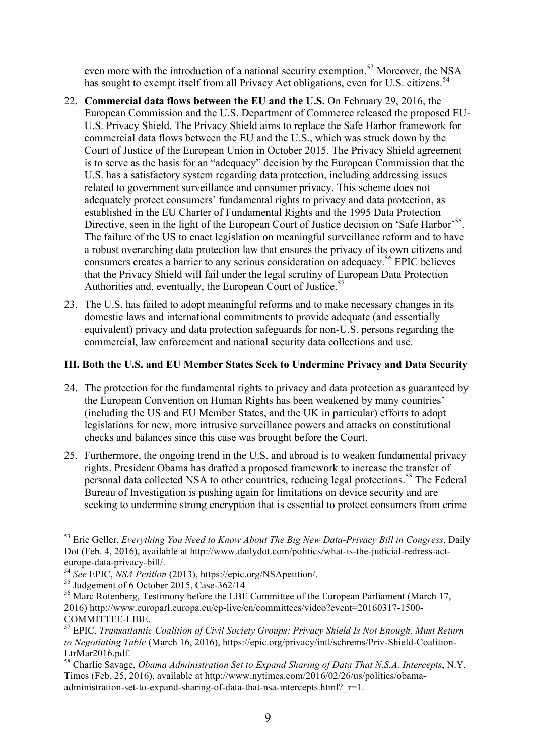even more with the introduction of a national security exemption.<sup>53</sup> Moreover, the NSA has sought to exempt itself from all Privacy Act obligations, even for U.S. citizens.<sup>54</sup>

- 22. **Commercial data flows between the EU and the U.S.** On February 29, 2016, the European Commission and the U.S. Department of Commerce released the proposed EU-U.S. Privacy Shield. The Privacy Shield aims to replace the Safe Harbor framework for commercial data flows between the EU and the U.S., which was struck down by the Court of Justice of the European Union in October 2015. The Privacy Shield agreement is to serve as the basis for an "adequacy" decision by the European Commission that the U.S. has a satisfactory system regarding data protection, including addressing issues related to government surveillance and consumer privacy. This scheme does not adequately protect consumers' fundamental rights to privacy and data protection, as established in the EU Charter of Fundamental Rights and the 1995 Data Protection Directive, seen in the light of the European Court of Justice decision on 'Safe Harbor'<sup>55</sup>. The failure of the US to enact legislation on meaningful surveillance reform and to have a robust overarching data protection law that ensures the privacy of its own citizens and consumers creates a barrier to any serious consideration on adequacy.<sup>56</sup> EPIC believes that the Privacy Shield will fail under the legal scrutiny of European Data Protection Authorities and, eventually, the European Court of Justice.<sup>57</sup>
- 23. The U.S. has failed to adopt meaningful reforms and to make necessary changes in its domestic laws and international commitments to provide adequate (and essentially equivalent) privacy and data protection safeguards for non-U.S. persons regarding the commercial, law enforcement and national security data collections and use.

# **III. Both the U.S. and EU Member States Seek to Undermine Privacy and Data Security**

- 24. The protection for the fundamental rights to privacy and data protection as guaranteed by the European Convention on Human Rights has been weakened by many countries' (including the US and EU Member States, and the UK in particular) efforts to adopt legislations for new, more intrusive surveillance powers and attacks on constitutional checks and balances since this case was brought before the Court.
- 25. Furthermore, the ongoing trend in the U.S. and abroad is to weaken fundamental privacy rights. President Obama has drafted a proposed framework to increase the transfer of personal data collected NSA to other countries, reducing legal protections.<sup>58</sup> The Federal Bureau of Investigation is pushing again for limitations on device security and are seeking to undermine strong encryption that is essential to protect consumers from crime

<sup>56</sup> Marc Rotenberg, Testimony before the LBE Committee of the European Parliament (March 17, 2016) http://www.europarl.europa.eu/ep-live/en/committees/video?event=20160317-1500- COMMITTEE-LIBE.

 <sup>53</sup> Eric Geller, *Everything You Need to Know About The Big New Data-Privacy Bill in Congress*, Daily Dot (Feb. 4, 2016), available at http://www.dailydot.com/politics/what-is-the-judicial-redress-acteurope-data-privacy-bill/.

<sup>54</sup> *See* EPIC, *NSA Petition* (2013), https://epic.org/NSApetition/.

 $55$  Judgement of 6 October 2015, Case-362/14

<sup>57</sup> EPIC, *Transatlantic Coalition of Civil Society Groups: Privacy Shield Is Not Enough, Must Return to Negotiating Table* (March 16, 2016), https://epic.org/privacy/intl/schrems/Priv-Shield-Coalition-LtrMar2016.pdf.

<sup>58</sup> Charlie Savage, *Obama Administration Set to Expand Sharing of Data That N.S.A. Intercepts*, N.Y. Times (Feb. 25, 2016), available at http://www.nytimes.com/2016/02/26/us/politics/obamaadministration-set-to-expand-sharing-of-data-that-nsa-intercepts.html? r=1.